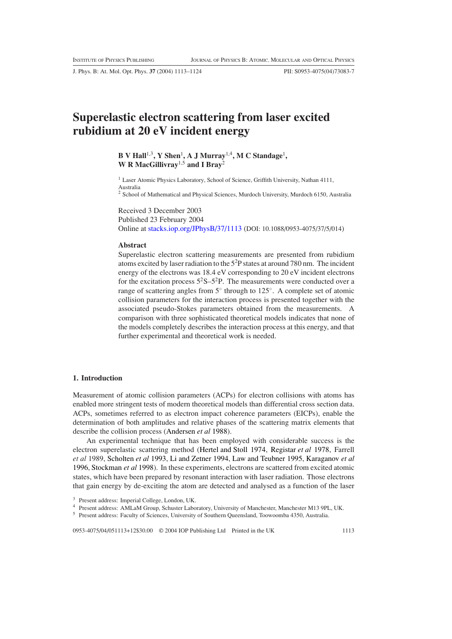J. Phys. B: At. Mol. Opt. Phys. **37** (2004) 1113–1124 PII: S0953-4075(04)73083-7

# **Superelastic electron scattering from laser excited rubidium at 20 eV incident energy**

**B V Hall**1,3**, Y Shen**<sup>1</sup> **, A J Murray**1,4**, M C Standage**<sup>1</sup> **, W R MacGillivray**1,5 **and I Bray**<sup>2</sup>

<sup>1</sup> Laser Atomic Physics Laboratory, School of Science, Griffith University, Nathan 4111, Australia <sup>2</sup> School of Mathematical and Physical Sciences, Murdoch University, Murdoch 6150, Australia

Received 3 December 2003 Published 23 February 2004 Online at [stacks.iop.org/JPhysB/37/1113](http://stacks.iop.org/jb/37/1113) (DOI: 10.1088/0953-4075/37/5/014)

## **Abstract**

Superelastic electron scattering measurements are presented from rubidium atoms excited by laser radiation to the  $5<sup>2</sup>P$  states at around 780 nm. The incident energy of the electrons was 18.4 eV corresponding to 20 eV incident electrons for the excitation process  $5^2S-5^2P$ . The measurements were conducted over a range of scattering angles from 5◦ through to 125◦. A complete set of atomic collision parameters for the interaction process is presented together with the associated pseudo-Stokes parameters obtained from the measurements. A comparison with three sophisticated theoretical models indicates that none of the models completely describes the interaction process at this energy, and that further experimental and theoretical work is needed.

# **1. Introduction**

Measurement of atomic collision parameters (ACPs) for electron collisions with atoms has enabled more stringent tests of modern theoretical models than differential cross section data. ACPs, sometimes referred to as electron impact coherence parameters (EICPs), enable the determination of both amplitudes and relative phases of the scattering matrix elements that describe the collision process [\(Andersen](#page-11-0) *et al* [1988](#page-11-0)).

An experimental technique that has been employed with considerable success is the electron superelastic scattering method [\(Hertel and Stoll 1974,](#page-11-1) [Registar](#page-11-2) *et al* [1978](#page-11-2), Farrell *et al* 1989, [Scholten](#page-11-3) *et al* [1993,](#page-11-3) [Li and Zetner 1994,](#page-11-4) [Law and Teubner 1995,](#page-11-5) [Karaganov](#page-11-6) *et al* [1996,](#page-11-6) [Stockman](#page-11-7) *et al* [1998](#page-11-7)). In these experiments, electrons are scattered from excited atomic states, which have been prepared by resonant interaction with laser radiation. Those electrons that gain energy by de-exciting the atom are detected and analysed as a function of the laser

0953-4075/04/051113+12\$30.00 © 2004 IOP Publishing Ltd Printed in the UK 1113

<sup>3</sup> Present address: Imperial College, London, UK.

<sup>4</sup> Present address: AMLaM Group, Schuster Laboratory, University of Manchester, Manchester M13 9PL, UK.

<sup>5</sup> Present address: Faculty of Sciences, University of Southern Queensland, Toowoomba 4350, Australia.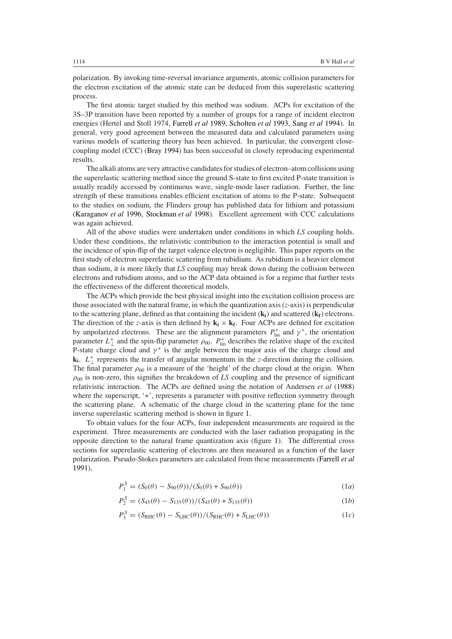polarization. By invoking time-reversal invariance arguments, atomic collision parameters for the electron excitation of the atomic state can be deduced from this superelastic scattering process.

The first atomic target studied by this method was sodium. ACPs for excitation of the 3S–3P transition have been reported by a number of groups for a range of incident electron energies (Hertel and Stoll 1974, [Farrell](#page-11-8) *et al* [1989](#page-11-8), [Scholten](#page-11-3) *et al* [1993,](#page-11-3) [Sang](#page-11-9) *et al* [1994\)](#page-11-9). In general, very good agreement between the measured data and calculated parameters using various models of scattering theory has been achieved. In particular, the convergent closecoupling model (CCC) [\(Bray 1994\)](#page-11-10) has been successful in closely reproducing experimental results.

The alkali atoms are very attractive candidates for studies of electron–atom collisions using the superelastic scattering method since the ground S-state to first excited P-state transition is usually readily accessed by continuous wave, single-mode laser radiation. Further, the line strength of these transitions enables efficient excitation of atoms to the P-state. Subsequent to the studies on sodium, the Flinders group has published data for lithium and potassium [\(Karaganov](#page-11-6) *et al* [1996](#page-11-6), [Stockman](#page-11-7) *et al* [1998\)](#page-11-7). Excellent agreement with CCC calculations was again achieved.

All of the above studies were undertaken under conditions in which *LS* coupling holds. Under these conditions, the relativistic contribution to the interaction potential is small and the incidence of spin-flip of the target valence electron is negligible. This paper reports on the first study of electron superelastic scattering from rubidium. As rubidium is a heavier element than sodium, it is more likely that *LS* coupling may break down during the collision between electrons and rubidium atoms, and so the ACP data obtained is for a regime that further tests the effectiveness of the different theoretical models.

The ACPs which provide the best physical insight into the excitation collision process are those associated with the natural frame, in which the quantization axis (*z*-axis) is perpendicular to the scattering plane, defined as that containing the incident  $(k_i)$  and scattered  $(k_f)$  electrons. The direction of the *z*-axis is then defined by  $\mathbf{k_i} \times \mathbf{k_f}$ . Four ACPs are defined for excitation by unpolarized electrons. These are the alignment parameters  $P_{lin}^+$  and  $\gamma^+$ , the orientation parameter  $L_{\perp}^{+}$  and the spin-flip parameter  $\rho_{00}$ .  $P_{\text{lin}}^{+}$  describes the relative shape of the excited P-state charge cloud and  $\gamma^+$  is the angle between the major axis of the charge cloud and  $\mathbf{k}_i$ .  $L^+$  represents the transfer of angular momentum in the *z*-direction during the collision. The final parameter  $\rho_{00}$  is a measure of the 'height' of the charge cloud at the origin. When  $\rho_{00}$  is non-zero, this signifies the breakdown of *LS* coupling and the presence of significant relativistic interaction. The ACPs are defined using the notation of Andersen *et al* [\(1988](#page-11-0)) where the superscript, '+', represents a parameter with positive reflection symmetry through the scattering plane. A schematic of the charge cloud in the scattering plane for the time inverse superelastic scattering method is shown in figure [1.](#page-2-0)

To obtain values for the four ACPs, four independent measurements are required in the experiment. Three measurements are conducted with the laser radiation propagating in the opposite direction to the natural frame quantization axis (figure [1\)](#page-2-0). The differential cross sections for superelastic scattering of electrons are then measured as a function of the laser polarization. Pseudo-Stokes parameters are calculated from these measurements [\(Farrell](#page-11-11) *et al* [1991\)](#page-11-11),

$$
P_1^S = (S_0(\theta) - S_{90}(\theta))/(S_0(\theta) + S_{90}(\theta))
$$
\n(1*a*)

$$
P_2^S = (S_{45}(\theta) - S_{135}(\theta)) / (S_{45}(\theta) + S_{135}(\theta))
$$
\n(1b)

$$
P_3^S = (S_{\rm RHC}(\theta) - S_{\rm LHC}(\theta)) / (S_{\rm RHC}(\theta) + S_{\rm LHC}(\theta))
$$
 (1*c*)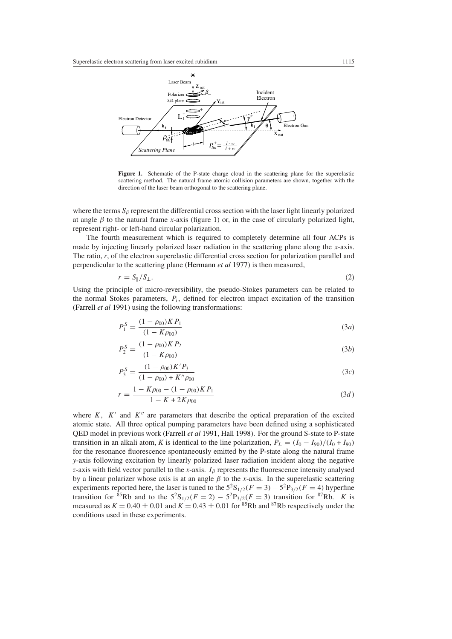

<span id="page-2-0"></span>Figure 1. Schematic of the P-state charge cloud in the scattering plane for the superelastic scattering method. The natural frame atomic collision parameters are shown, together with the direction of the laser beam orthogonal to the scattering plane.

where the terms  $S_\beta$  represent the differential cross section with the laser light linearly polarized at angle  $\beta$  to the natural frame *x*-axis (figure [1\)](#page-2-0) or, in the case of circularly polarized light, represent right- or left-hand circular polarization.

The fourth measurement which is required to completely determine all four ACPs is made by injecting linearly polarized laser radiation in the scattering plane along the *x*-axis. The ratio, *r*, of the electron superelastic differential cross section for polarization parallel and perpendicular to the scattering plane [\(Hermann](#page-11-12) *et al* [1977](#page-11-12)) is then measured,

$$
r = S_{\parallel}/S_{\perp}.\tag{2}
$$

Using the principle of micro-reversibility, the pseudo-Stokes parameters can be related to the normal Stokes parameters, *Pi*, defined for electron impact excitation of the transition [\(Farrell](#page-11-11) *et al* [1991](#page-11-11)) using the following transformations:

$$
P_1^S = \frac{(1 - \rho_{00})KP_1}{(1 - K\rho_{00})}
$$
(3*a*)

$$
P_2^S = \frac{(1 - \rho_{00})KP_2}{(1 - K\rho_{00})}
$$
(3b)

$$
P_3^S = \frac{(1 - \rho_{00})K'P_3}{(1 - \rho_{00}) + K''\rho_{00}}
$$
\n(3*c*)

$$
r = \frac{1 - K\rho_{00} - (1 - \rho_{00})KP_1}{1 - K + 2K\rho_{00}}
$$
\n(3*d*)

where  $K$ ,  $K'$  and  $K''$  are parameters that describe the optical preparation of the excited atomic state. All three optical pumping parameters have been defined using a sophisticated QED model in previous work [\(Farrell](#page-11-11) *et al* [1991](#page-11-11), [Hall 1998](#page-11-13)). For the ground S-state to P-state transition in an alkali atom, *K* is identical to the line polarization,  $P_L = (I_0 - I_{90})/(I_0 + I_{90})$ for the resonance fluorescence spontaneously emitted by the P-state along the natural frame *y*-axis following excitation by linearly polarized laser radiation incident along the negative *z*-axis with field vector parallel to the *x*-axis. *Iβ* represents the fluorescence intensity analysed by a linear polarizer whose axis is at an angle  $\beta$  to the *x*-axis. In the superelastic scattering experiments reported here, the laser is tuned to the  $5^{2}S_{1/2}(F = 3) - 5^{2}P_{3/2}(F = 4)$  hyperfine transition for <sup>85</sup>Rb and to the  $5^{2}S_{1/2}(F = 2) - 5^{2}P_{3/2}(F = 3)$  transition for <sup>87</sup>Rb. *K* is measured as  $K = 0.40 \pm 0.01$  and  $K = 0.43 \pm 0.01$  for <sup>85</sup>Rb and <sup>87</sup>Rb respectively under the conditions used in these experiments.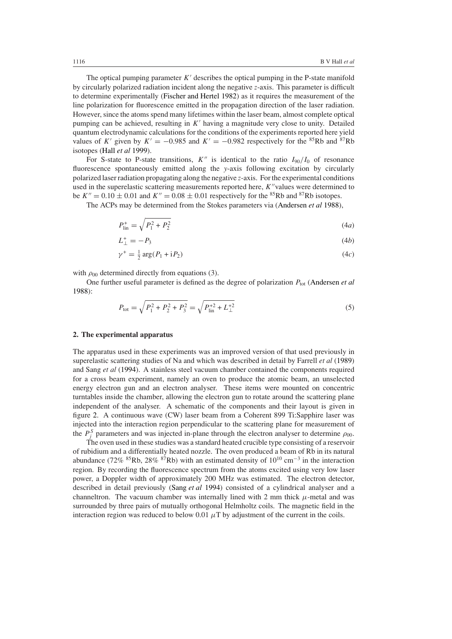The optical pumping parameter  $K'$  describes the optical pumping in the P-state manifold by circularly polarized radiation incident along the negative *z*-axis. This parameter is difficult to determine experimentally [\(Fischer and Hertel 1982](#page-11-14)) as it requires the measurement of the line polarization for fluorescence emitted in the propagation direction of the laser radiation. However, since the atoms spend many lifetimes within the laser beam, almost complete optical pumping can be achieved, resulting in *K'* having a magnitude very close to unity. Detailed quantum electrodynamic calculations for the conditions of the experiments reported here yield values of *K'* given by  $K' = -0.985$  and  $K' = -0.982$  respectively for the <sup>85</sup>Rb and <sup>87</sup>Rb isotopes [\(Hall](#page-11-15) *et al* [1999\)](#page-11-15).

For S-state to P-state transitions,  $K''$  is identical to the ratio  $I_{90}/I_0$  of resonance fluorescence spontaneously emitted along the *y*-axis following excitation by circularly polarized laser radiation propagating along the negative *z*-axis. For the experimental conditions used in the superelastic scattering measurements reported here, *K*<sup>*v*</sup> values were determined to be  $K'' = 0.10 \pm 0.01$  and  $K'' = 0.08 \pm 0.01$  respectively for the <sup>85</sup>Rb and <sup>87</sup>Rb isotopes.

The ACPs may be determined from the Stokes parameters via [\(Andersen](#page-11-0) *et al* [1988](#page-11-0)),

$$
P_{\text{lin}}^{+} = \sqrt{P_1^2 + P_2^2} \tag{4a}
$$

$$
L_{\perp}^{+} = -P_3 \tag{4b}
$$

$$
\gamma^+ = \frac{1}{2}\arg(P_1 + \mathrm{i}P_2) \tag{4c}
$$

with  $\rho_{00}$  determined directly from equations (3).

One further useful parameter is defined as the degree of polarization  $P_{\text{tot}}$  [\(Andersen](#page-11-0) *et al* [1988\)](#page-11-0):

$$
P_{\text{tot}} = \sqrt{P_1^2 + P_2^2 + P_3^2} = \sqrt{P_{\text{lin}}^{+2} + L_{\perp}^{+2}}
$$
(5)

#### **2. The experimental apparatus**

The apparatus used in these experiments was an improved version of that used previously in superelastic scattering studies of Na and which was described in detail by Farrell *et al* [\(1989](#page-11-8)) and Sang *et al* [\(1994\)](#page-11-9). A stainless steel vacuum chamber contained the components required for a cross beam experiment, namely an oven to produce the atomic beam, an unselected energy electron gun and an electron analyser. These items were mounted on concentric turntables inside the chamber, allowing the electron gun to rotate around the scattering plane independent of the analyser. A schematic of the components and their layout is given in figure [2.](#page-4-0) A continuous wave (CW) laser beam from a Coherent 899 Ti:Sapphire laser was injected into the interaction region perpendicular to the scattering plane for measurement of the  $P_j^S$  parameters and was injected in-plane through the electron analyser to determine  $\rho_{00}$ .

The oven used in these studies was a standard heated crucible type consisting of a reservoir of rubidium and a differentially heated nozzle. The oven produced a beam of Rb in its natural abundance (72% <sup>85</sup>Rb, 28% <sup>87</sup>Rb) with an estimated density of 10<sup>10</sup> cm<sup>-3</sup> in the interaction region. By recording the fluorescence spectrum from the atoms excited using very low laser power, a Doppler width of approximately 200 MHz was estimated. The electron detector, described in detail previously [\(Sang](#page-11-9) *et al* [1994\)](#page-11-9) consisted of a cylindrical analyser and a channeltron. The vacuum chamber was internally lined with 2 mm thick  $\mu$ -metal and was surrounded by three pairs of mutually orthogonal Helmholtz coils. The magnetic field in the interaction region was reduced to below  $0.01 \mu T$  by adjustment of the current in the coils.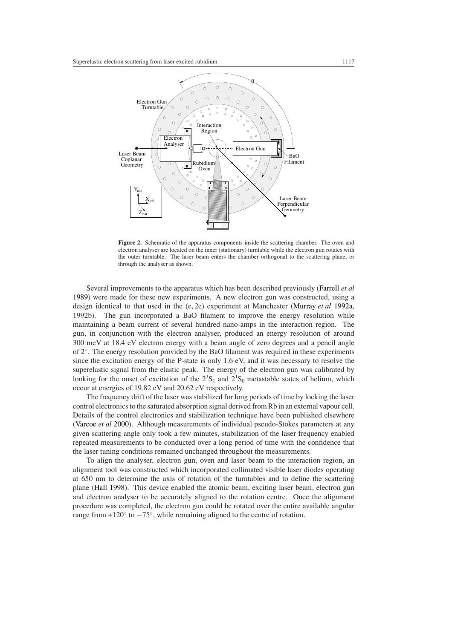

<span id="page-4-0"></span>**Figure 2.** Schematic of the apparatus components inside the scattering chamber. The oven and electron analyser are located on the inner (stationary) turntable while the electron gun rotates with the outer turntable. The laser beam enters the chamber orthogonal to the scattering plane, or through the analyser as shown.

Several improvements to the apparatus which has been described previously [\(Farrell](#page-11-8) *et al* [1989\)](#page-11-8) were made for these new experiments. A new electron gun was constructed, using a design identical to that used in the (e, 2e) experiment at Manchester [\(Murray](#page-11-16) *et al* [1992a](#page-11-16), 1992b). The gun incorporated a BaO filament to improve the energy resolution while maintaining a beam current of several hundred nano-amps in the interaction region. The gun, in conjunction with the electron analyser, produced an energy resolution of around 300 meV at 18.4 eV electron energy with a beam angle of zero degrees and a pencil angle of  $2°$ . The energy resolution provided by the BaO filament was required in these experiments since the excitation energy of the P-state is only 1.6 eV, and it was necessary to resolve the superelastic signal from the elastic peak. The energy of the electron gun was calibrated by looking for the onset of excitation of the  $2<sup>3</sup>S<sub>1</sub>$  and  $2<sup>1</sup>S<sub>0</sub>$  metastable states of helium, which occur at energies of 19.82 eV and 20.62 eV respectively.

The frequency drift of the laser was stabilized for long periods of time by locking the laser control electronics to the saturated absorption signal derived from Rb in an external vapour cell. Details of the control electronics and stabilization technique have been published elsewhere [\(Varcoe](#page-11-17) *et al* [2000\)](#page-11-17). Although measurements of individual pseudo-Stokes parameters at any given scattering angle only took a few minutes, stabilization of the laser frequency enabled repeated measurements to be conducted over a long period of time with the confidence that the laser tuning conditions remained unchanged throughout the measurements.

To align the analyser, electron gun, oven and laser beam to the interaction region, an alignment tool was constructed which incorporated collimated visible laser diodes operating at 650 nm to determine the axis of rotation of the turntables and to define the scattering plane [\(Hall 1998](#page-11-13)). This device enabled the atomic beam, exciting laser beam, electron gun and electron analyser to be accurately aligned to the rotation centre. Once the alignment procedure was completed, the electron gun could be rotated over the entire available angular range from  $+120^\circ$  to  $-75^\circ$ , while remaining aligned to the centre of rotation.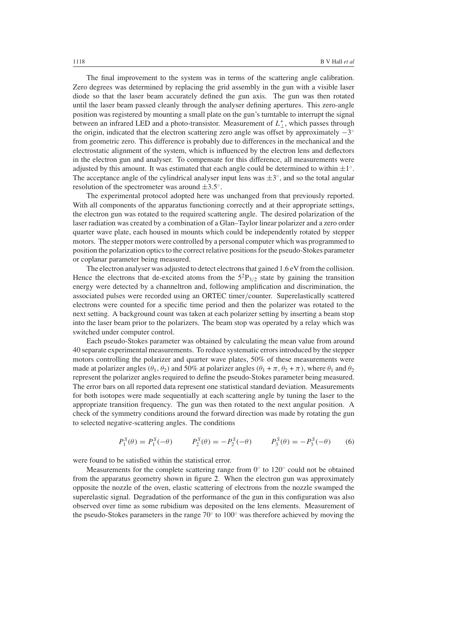The final improvement to the system was in terms of the scattering angle calibration. Zero degrees was determined by replacing the grid assembly in the gun with a visible laser diode so that the laser beam accurately defined the gun axis. The gun was then rotated until the laser beam passed cleanly through the analyser defining apertures. This zero-angle position was registered by mounting a small plate on the gun's turntable to interrupt the signal between an infrared LED and a photo-transistor. Measurement of  $L_{\perp}^{+}$ , which passes through the origin, indicated that the electron scattering zero angle was offset by approximately −3◦ from geometric zero. This difference is probably due to differences in the mechanical and the electrostatic alignment of the system, which is influenced by the electron lens and deflectors in the electron gun and analyser. To compensate for this difference, all measurements were adjusted by this amount. It was estimated that each angle could be determined to within  $\pm 1°$ . The acceptance angle of the cylindrical analyser input lens was  $\pm 3^\circ$ , and so the total angular resolution of the spectrometer was around  $\pm 3.5^\circ$ .

The experimental protocol adopted here was unchanged from that previously reported. With all components of the apparatus functioning correctly and at their appropriate settings, the electron gun was rotated to the required scattering angle. The desired polarization of the laser radiation was created by a combination of a Glan–Taylor linear polarizer and a zero order quarter wave plate, each housed in mounts which could be independently rotated by stepper motors. The stepper motors were controlled by a personal computer which was programmed to position the polarization optics to the correct relative positions for the pseudo-Stokes parameter or coplanar parameter being measured.

The electron analyser was adjusted to detect electrons that gained 1.6 eV from the collision. Hence the electrons that de-excited atoms from the  $5<sup>2</sup>P<sub>3/2</sub>$  state by gaining the transition energy were detected by a channeltron and, following amplification and discrimination, the associated pulses were recorded using an ORTEC timer*/*counter. Superelastically scattered electrons were counted for a specific time period and then the polarizer was rotated to the next setting. A background count was taken at each polarizer setting by inserting a beam stop into the laser beam prior to the polarizers. The beam stop was operated by a relay which was switched under computer control.

Each pseudo-Stokes parameter was obtained by calculating the mean value from around 40 separate experimental measurements. To reduce systematic errors introduced by the stepper motors controlling the polarizer and quarter wave plates, 50% of these measurements were made at polarizer angles  $(\theta_1, \theta_2)$  and 50% at polarizer angles  $(\theta_1 + \pi, \theta_2 + \pi)$ , where  $\theta_1$  and  $\theta_2$ represent the polarizer angles required to define the pseudo-Stokes parameter being measured. The error bars on all reported data represent one statistical standard deviation. Measurements for both isotopes were made sequentially at each scattering angle by tuning the laser to the appropriate transition frequency. The gun was then rotated to the next angular position. A check of the symmetry conditions around the forward direction was made by rotating the gun to selected negative-scattering angles. The conditions

$$
P_1^S(\theta) = P_1^S(-\theta) \qquad P_2^S(\theta) = -P_2^S(-\theta) \qquad P_3^S(\theta) = -P_3^S(-\theta) \qquad (6)
$$

were found to be satisfied within the statistical error.

Measurements for the complete scattering range from 0◦ to 120◦ could not be obtained from the apparatus geometry shown in figure [2.](#page-4-0) When the electron gun was approximately opposite the nozzle of the oven, elastic scattering of electrons from the nozzle swamped the superelastic signal. Degradation of the performance of the gun in this configuration was also observed over time as some rubidium was deposited on the lens elements. Measurement of the pseudo-Stokes parameters in the range  $70°$  to  $100°$  was therefore achieved by moving the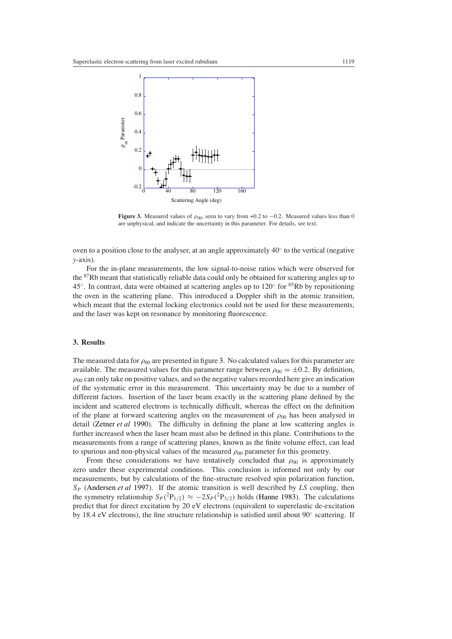

<span id="page-6-0"></span>**Figure 3.** Measured values of  $\rho_{00}$ , seen to vary from +0.2 to −0.2. Measured values less than 0 are unphysical, and indicate the uncertainty in this parameter. For details, see text.

oven to a position close to the analyser, at an angle approximately  $40°$  to the vertical (negative *y*-axis).

For the in-plane measurements, the low signal-to-noise ratios which were observed for the <sup>87</sup>Rb meant that statistically reliable data could only be obtained for scattering angles up to 45<sup>°</sup>. In contrast, data were obtained at scattering angles up to  $120^\circ$  for <sup>85</sup>Rb by repositioning the oven in the scattering plane. This introduced a Doppler shift in the atomic transition, which meant that the external locking electronics could not be used for these measurements, and the laser was kept on resonance by monitoring fluorescence.

#### **3. Results**

The measured data for  $\rho_{00}$  are presented in figure [3.](#page-6-0) No calculated values for this parameter are available. The measured values for this parameter range between  $\rho_{00} = \pm 0.2$ . By definition,  $\rho_{00}$  can only take on positive values, and so the negative values recorded here give an indication of the systematic error in this measurement. This uncertainty may be due to a number of different factors. Insertion of the laser beam exactly in the scattering plane defined by the incident and scattered electrons is technically difficult, whereas the effect on the definition of the plane at forward scattering angles on the measurement of  $\rho_{00}$  has been analysed in detail [\(Zetner](#page-11-18) *et al* [1990](#page-11-18)). The difficulty in defining the plane at low scattering angles is further increased when the laser beam must also be defined in this plane. Contributions to the measurements from a range of scattering planes, known as the finite volume effect, can lead to spurious and non-physical values of the measured  $\rho_{00}$  parameter for this geometry.

From these considerations we have tentatively concluded that  $\rho_{00}$  is approximately zero under these experimental conditions. This conclusion is informed not only by our measurements, but by calculations of the fine-structure resolved spin polarization function, *SP* [\(Andersen](#page-11-19) *et al* [1997\)](#page-11-19). If the atomic transition is well described by *LS* coupling, then the symmetry relationship  $S_P(^2P_{1/2}) \approx -2S_P(^2P_{3/2})$  holds [\(Hanne 1983](#page-11-20)). The calculations predict that for direct excitation by 20 eV electrons (equivalent to superelastic de-excitation by 18.4 eV electrons), the fine structure relationship is satisfied until about  $90°$  scattering. If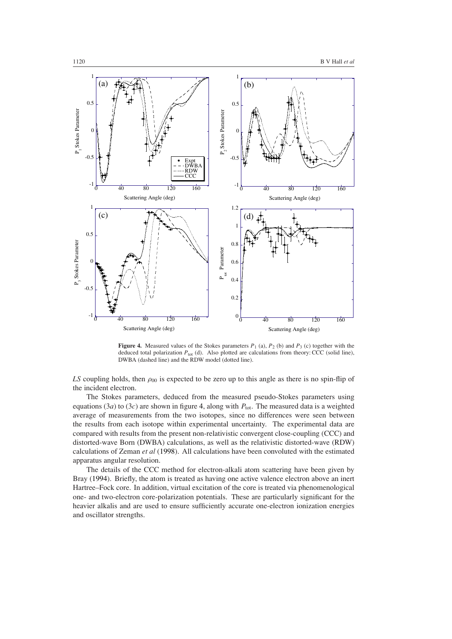

<span id="page-7-0"></span>**Figure 4.** Measured values of the Stokes parameters  $P_1$  (a),  $P_2$  (b) and  $P_3$  (c) together with the deduced total polarization  $P_{\text{tot}}$  (d). Also plotted are calculations from theory: CCC (solid line), DWBA (dashed line) and the RDW model (dotted line).

*LS* coupling holds, then  $\rho_{00}$  is expected to be zero up to this angle as there is no spin-flip of the incident electron.

The Stokes parameters, deduced from the measured pseudo-Stokes parameters using equations (3*a*) to (3*c*) are shown in figure [4,](#page-7-0) along with  $P_{\text{tot}}$ . The measured data is a weighted average of measurements from the two isotopes, since no differences were seen between the results from each isotope within experimental uncertainty. The experimental data are compared with results from the present non-relativistic convergent close-coupling (CCC) and distorted-wave Born (DWBA) calculations, as well as the relativistic distorted-wave (RDW) calculations of Zeman *et al* [\(1998](#page-11-21)). All calculations have been convoluted with the estimated apparatus angular resolution.

The details of the CCC method for electron-alkali atom scattering have been given by Bray [\(1994](#page-11-10)). Briefly, the atom is treated as having one active valence electron above an inert Hartree–Fock core. In addition, virtual excitation of the core is treated via phenomenological one- and two-electron core-polarization potentials. These are particularly significant for the heavier alkalis and are used to ensure sufficiently accurate one-electron ionization energies and oscillator strengths.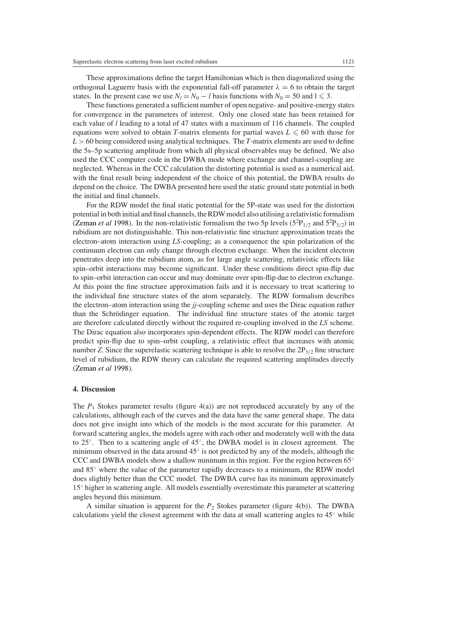These approximations define the target Hamiltonian which is then diagonalized using the orthogonal Laguerre basis with the exponential fall-off parameter  $\lambda = 6$  to obtain the target states. In the present case we use  $N_l = N_0 - l$  basis functions with  $N_0 = 50$  and  $l \le 3$ .

These functions generated a sufficient number of open negative- and positive-energy states for convergence in the parameters of interest. Only one closed state has been retained for each value of *l* leading to a total of 47 states with a maximum of 116 channels. The coupled equations were solved to obtain *T*-matrix elements for partial waves  $L \le 60$  with those for *L >* 60 being considered using analytical techniques. The *T*-matrix elements are used to define the 5s–5p scattering amplitude from which all physical observables may be defined. We also used the CCC computer code in the DWBA mode where exchange and channel-coupling are neglected. Whereas in the CCC calculation the distorting potential is used as a numerical aid, with the final result being independent of the choice of this potential, the DWBA results do depend on the choice. The DWBA presented here used the static ground state potential in both the initial and final channels.

For the RDW model the final static potential for the 5P-state was used for the distortion potential in both initial and final channels, the RDW model also utilising a relativistic formalism [\(Zeman](#page-11-21) *et al* [1998](#page-11-21)). In the non-relativistic formalism the two 5p levels  $(5^{2}P_{1/2}$  and  $5^{2}P_{3/2})$  in rubidium are not distinguishable. This non-relativistic fine structure approximation treats the electron–atom interaction using *LS*-coupling; as a consequence the spin polarization of the continuum electron can only change through electron exchange. When the incident electron penetrates deep into the rubidium atom, as for large angle scattering, relativistic effects like spin–orbit interactions may become significant. Under these conditions direct spin-flip due to spin–orbit interaction can occur and may dominate over spin-flip due to electron exchange. At this point the fine structure approximation fails and it is necessary to treat scattering to the individual fine structure states of the atom separately. The RDW formalism describes the electron–atom interaction using the *jj*-coupling scheme and uses the Dirac equation rather than the Schrödinger equation. The individual fine structure states of the atomic target are therefore calculated directly without the required re-coupling involved in the *LS* scheme. The Dirac equation also incorporates spin-dependent effects. The RDW model can therefore predict spin-flip due to spin–orbit coupling, a relativistic effect that increases with atomic number *Z*. Since the superelastic scattering technique is able to resolve the  $2P_{3/2}$  fine structure level of rubidium, the RDW theory can calculate the required scattering amplitudes directly [\(Zeman](#page-11-21) *et al* [1998](#page-11-21)).

### **4. Discussion**

The  $P_1$  Stokes parameter results (figure  $4(a)$ ) are not reproduced accurately by any of the calculations, although each of the curves and the data have the same general shape. The data does not give insight into which of the models is the most accurate for this parameter. At forward scattering angles, the models agree with each other and moderately well with the data to 25◦. Then to a scattering angle of 45◦, the DWBA model is in closest agreement. The minimum observed in the data around  $45°$  is not predicted by any of the models, although the CCC and DWBA models show a shallow minimum in this region. For the region between  $65°$ and 85◦ where the value of the parameter rapidly decreases to a minimum, the RDW model does slightly better than the CCC model. The DWBA curve has its minimum approximately 15◦ higher in scattering angle. All models essentially overestimate this parameter at scattering angles beyond this minimum.

A similar situation is apparent for the  $P_2$  Stokes parameter (figure 4(b)). The DWBA calculations yield the closest agreement with the data at small scattering angles to  $45°$  while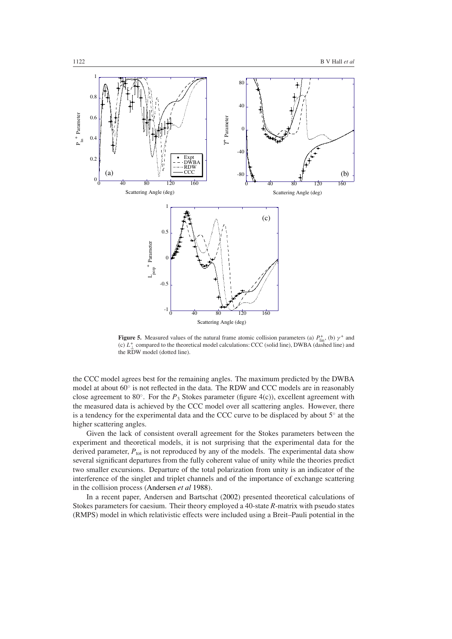

<span id="page-9-0"></span>**Figure 5.** Measured values of the natural frame atomic collision parameters (a)  $P_{\text{lin}}^{+}$ , (b)  $\gamma^{+}$  and (c)  $L_{\perp}^{+}$  compared to the theoretical model calculations: CCC (solid line), DWBA (dashed line) and the RDW model (dotted line).

the CCC model agrees best for the remaining angles. The maximum predicted by the DWBA model at about 60◦ is not reflected in the data. The RDW and CCC models are in reasonably close agreement to 80◦. For the *P*<sup>3</sup> Stokes parameter (figure 4(c)), excellent agreement with the measured data is achieved by the CCC model over all scattering angles. However, there is a tendency for the experimental data and the CCC curve to be displaced by about 5◦ at the higher scattering angles.

Given the lack of consistent overall agreement for the Stokes parameters between the experiment and theoretical models, it is not surprising that the experimental data for the derived parameter,  $P_{\text{tot}}$  is not reproduced by any of the models. The experimental data show several significant departures from the fully coherent value of unity while the theories predict two smaller excursions. Departure of the total polarization from unity is an indicator of the interference of the singlet and triplet channels and of the importance of exchange scattering in the collision process [\(Andersen](#page-11-0) *et al* [1988\)](#page-11-0).

In a recent paper, Andersen and Bartschat [\(2002](#page-11-22)) presented theoretical calculations of Stokes parameters for caesium. Their theory employed a 40-state *R*-matrix with pseudo states (RMPS) model in which relativistic effects were included using a Breit–Pauli potential in the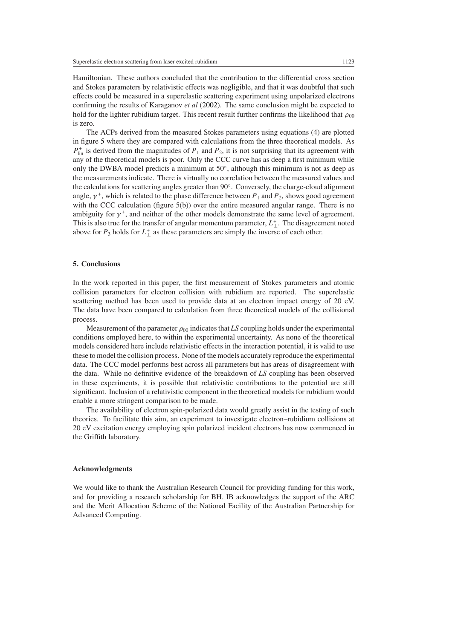Hamiltonian. These authors concluded that the contribution to the differential cross section and Stokes parameters by relativistic effects was negligible, and that it was doubtful that such effects could be measured in a superelastic scattering experiment using unpolarized electrons confirming the results of Karaganov *et al* [\(2002](#page-11-23)). The same conclusion might be expected to hold for the lighter rubidium target. This recent result further confirms the likelihood that  $\rho_{00}$ is zero.

The ACPs derived from the measured Stokes parameters using equations (4) are plotted in figure [5](#page-9-0) where they are compared with calculations from the three theoretical models. As  $P_{lin}^+$  is derived from the magnitudes of  $P_1$  and  $P_2$ , it is not surprising that its agreement with any of the theoretical models is poor. Only the CCC curve has as deep a first minimum while only the DWBA model predicts a minimum at  $50^\circ$ , although this minimum is not as deep as the measurements indicate. There is virtually no correlation between the measured values and the calculations for scattering angles greater than 90◦. Conversely, the charge-cloud alignment angle,  $\gamma^+$ , which is related to the phase difference between  $P_1$  and  $P_2$ , shows good agreement with the CCC calculation (figure 5(b)) over the entire measured angular range. There is no ambiguity for  $\gamma^+$ , and neither of the other models demonstrate the same level of agreement. This is also true for the transfer of angular momentum parameter,  $L_{\perp}^+$ . The disagreement noted above for  $P_3$  holds for  $L_{\perp}^+$  as these parameters are simply the inverse of each other.

## **5. Conclusions**

In the work reported in this paper, the first measurement of Stokes parameters and atomic collision parameters for electron collision with rubidium are reported. The superelastic scattering method has been used to provide data at an electron impact energy of 20 eV. The data have been compared to calculation from three theoretical models of the collisional process.

Measurement of the parameter  $\rho_{00}$  indicates that *LS* coupling holds under the experimental conditions employed here, to within the experimental uncertainty. As none of the theoretical models considered here include relativistic effects in the interaction potential, it is valid to use these to model the collision process. None of the models accurately reproduce the experimental data. The CCC model performs best across all parameters but has areas of disagreement with the data. While no definitive evidence of the breakdown of *LS* coupling has been observed in these experiments, it is possible that relativistic contributions to the potential are still significant. Inclusion of a relativistic component in the theoretical models for rubidium would enable a more stringent comparison to be made.

The availability of electron spin-polarized data would greatly assist in the testing of such theories. To facilitate this aim, an experiment to investigate electron–rubidium collisions at 20 eV excitation energy employing spin polarized incident electrons has now commenced in the Griffith laboratory.

## **Acknowledgments**

We would like to thank the Australian Research Council for providing funding for this work, and for providing a research scholarship for BH. IB acknowledges the support of the ARC and the Merit Allocation Scheme of the National Facility of the Australian Partnership for Advanced Computing.